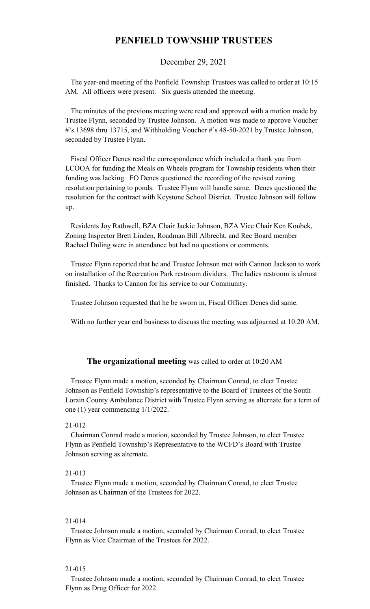## **PENFIELD TOWNSHIP TRUSTEES**

December 29, 2021

 The year-end meeting of the Penfield Township Trustees was called to order at 10:15 AM. All officers were present. Six guests attended the meeting.

 The minutes of the previous meeting were read and approved with a motion made by Trustee Flynn, seconded by Trustee Johnson. A motion was made to approve Voucher #'s 13698 thru 13715, and Withholding Voucher #'s 48-50-2021 by Trustee Johnson, seconded by Trustee Flynn.

 Fiscal Officer Denes read the correspondence which included a thank you from LCOOA for funding the Meals on Wheels program for Township residents when their funding was lacking. FO Denes questioned the recording of the revised zoning resolution pertaining to ponds. Trustee Flynn will handle same. Denes questioned the resolution for the contract with Keystone School District. Trustee Johnson will follow up.

 Residents Joy Rathwell, BZA Chair Jackie Johnson, BZA Vice Chair Ken Koubek, Zoning Inspector Brett Linden, Roadman Bill Albrecht, and Rec Board member Rachael Duling were in attendance but had no questions or comments.

 Trustee Flynn reported that he and Trustee Johnson met with Cannon Jackson to work on installation of the Recreation Park restroom dividers. The ladies restroom is almost finished. Thanks to Cannon for his service to our Community.

Trustee Johnson requested that he be sworn in, Fiscal Officer Denes did same.

With no further year end business to discuss the meeting was adjourned at 10:20 AM.

### **The organizational meeting** was called to order at 10:20 AM

 Trustee Flynn made a motion, seconded by Chairman Conrad, to elect Trustee Johnson as Penfield Township's representative to the Board of Trustees of the South Lorain County Ambulance District with Trustee Flynn serving as alternate for a term of one (1) year commencing 1/1/2022.

#### 21-012

 Chairman Conrad made a motion, seconded by Trustee Johnson, to elect Trustee Flynn as Penfield Township's Representative to the WCFD's Board with Trustee Johnson serving as alternate.

#### 21-013

 Trustee Flynn made a motion, seconded by Chairman Conrad, to elect Trustee Johnson as Chairman of the Trustees for 2022.

#### 21-014

 Trustee Johnson made a motion, seconded by Chairman Conrad, to elect Trustee Flynn as Vice Chairman of the Trustees for 2022.

#### 21-015

 Trustee Johnson made a motion, seconded by Chairman Conrad, to elect Trustee Flynn as Drug Officer for 2022.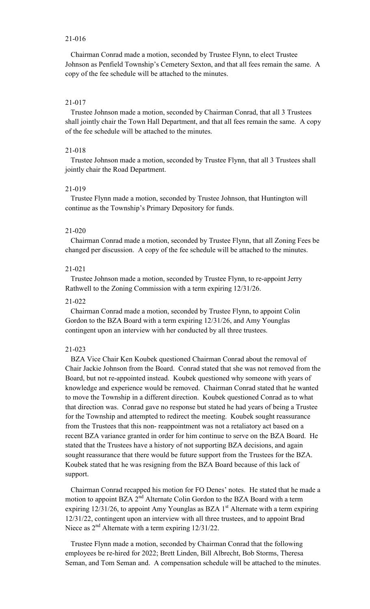#### 21-016

 Chairman Conrad made a motion, seconded by Trustee Flynn, to elect Trustee Johnson as Penfield Township's Cemetery Sexton, and that all fees remain the same. A copy of the fee schedule will be attached to the minutes.

### 21-017

 Trustee Johnson made a motion, seconded by Chairman Conrad, that all 3 Trustees shall jointly chair the Town Hall Department, and that all fees remain the same. A copy of the fee schedule will be attached to the minutes.

### 21-018

 Trustee Johnson made a motion, seconded by Trustee Flynn, that all 3 Trustees shall jointly chair the Road Department.

#### 21-019

 Trustee Flynn made a motion, seconded by Trustee Johnson, that Huntington will continue as the Township's Primary Depository for funds.

#### 21-020

 Chairman Conrad made a motion, seconded by Trustee Flynn, that all Zoning Fees be changed per discussion. A copy of the fee schedule will be attached to the minutes.

## 21-021

 Trustee Johnson made a motion, seconded by Trustee Flynn, to re-appoint Jerry Rathwell to the Zoning Commission with a term expiring 12/31/26.

#### 21-022

 Chairman Conrad made a motion, seconded by Trustee Flynn, to appoint Colin Gordon to the BZA Board with a term expiring 12/31/26, and Amy Younglas contingent upon an interview with her conducted by all three trustees.

#### 21-023

 BZA Vice Chair Ken Koubek questioned Chairman Conrad about the removal of Chair Jackie Johnson from the Board. Conrad stated that she was not removed from the Board, but not re-appointed instead. Koubek questioned why someone with years of knowledge and experience would be removed. Chairman Conrad stated that he wanted to move the Township in a different direction. Koubek questioned Conrad as to what that direction was. Conrad gave no response but stated he had years of being a Trustee for the Township and attempted to redirect the meeting. Koubek sought reassurance from the Trustees that this non- reappointment was not a retaliatory act based on a recent BZA variance granted in order for him continue to serve on the BZA Board. He stated that the Trustees have a history of not supporting BZA decisions, and again sought reassurance that there would be future support from the Trustees for the BZA. Koubek stated that he was resigning from the BZA Board because of this lack of support.

 Chairman Conrad recapped his motion for FO Denes' notes. He stated that he made a motion to appoint BZA  $2^{nd}$  Alternate Colin Gordon to the BZA Board with a term expiring  $12/31/26$ , to appoint Amy Younglas as BZA  $1<sup>st</sup>$  Alternate with a term expiring 12/31/22, contingent upon an interview with all three trustees, and to appoint Brad Niece as  $2<sup>nd</sup>$  Alternate with a term expiring 12/31/22.

 Trustee Flynn made a motion, seconded by Chairman Conrad that the following employees be re-hired for 2022; Brett Linden, Bill Albrecht, Bob Storms, Theresa Seman, and Tom Seman and. A compensation schedule will be attached to the minutes.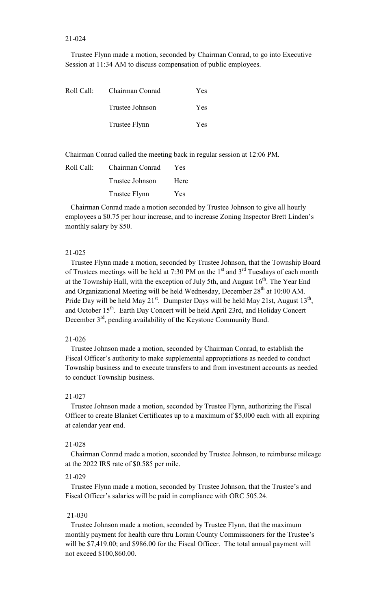#### 21-024

 Trustee Flynn made a motion, seconded by Chairman Conrad, to go into Executive Session at 11:34 AM to discuss compensation of public employees.

| Roll Call: | Chairman Conrad | Yes        |
|------------|-----------------|------------|
|            | Trustee Johnson | <b>Yes</b> |
|            | Trustee Flynn   | Yes        |

Chairman Conrad called the meeting back in regular session at 12:06 PM.

| Roll Call: | Chairman Conrad | Yes        |
|------------|-----------------|------------|
|            | Trustee Johnson | Here       |
|            | Trustee Flynn   | <b>Yes</b> |

 Chairman Conrad made a motion seconded by Trustee Johnson to give all hourly employees a \$0.75 per hour increase, and to increase Zoning Inspector Brett Linden's monthly salary by \$50.

#### 21-025

 Trustee Flynn made a motion, seconded by Trustee Johnson, that the Township Board of Trustees meetings will be held at 7:30 PM on the  $1<sup>st</sup>$  and  $3<sup>rd</sup>$  Tuesdays of each month at the Township Hall, with the exception of July 5th, and August  $16<sup>th</sup>$ . The Year End and Organizational Meeting will be held Wednesday, December  $28<sup>th</sup>$  at 10:00 AM. Pride Day will be held May 21 $^{\text{st}}$ . Dumpster Days will be held May 21st, August 13<sup>th</sup>, and October 15<sup>th</sup>. Earth Day Concert will be held April 23rd, and Holiday Concert December 3<sup>rd</sup>, pending availability of the Keystone Community Band.

### 21-026

 Trustee Johnson made a motion, seconded by Chairman Conrad, to establish the Fiscal Officer's authority to make supplemental appropriations as needed to conduct Township business and to execute transfers to and from investment accounts as needed to conduct Township business.

#### 21-027

 Trustee Johnson made a motion, seconded by Trustee Flynn, authorizing the Fiscal Officer to create Blanket Certificates up to a maximum of \$5,000 each with all expiring at calendar year end.

#### 21-028

 Chairman Conrad made a motion, seconded by Trustee Johnson, to reimburse mileage at the 2022 IRS rate of \$0.585 per mile.

#### 21-029

 Trustee Flynn made a motion, seconded by Trustee Johnson, that the Trustee's and Fiscal Officer's salaries will be paid in compliance with ORC 505.24.

#### 21-030

 Trustee Johnson made a motion, seconded by Trustee Flynn, that the maximum monthly payment for health care thru Lorain County Commissioners for the Trustee's will be \$7,419.00; and \$986.00 for the Fiscal Officer. The total annual payment will not exceed \$100,860.00.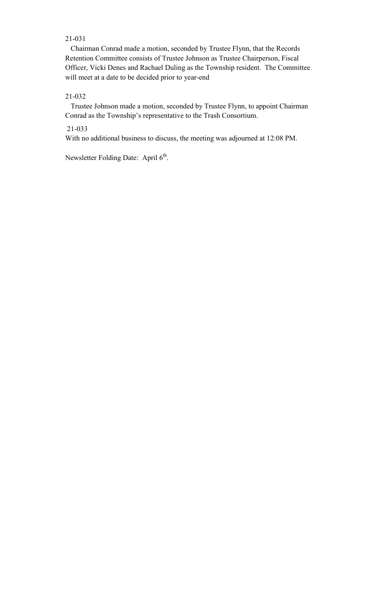## 21-031

 Chairman Conrad made a motion, seconded by Trustee Flynn, that the Records Retention Committee consists of Trustee Johnson as Trustee Chairperson, Fiscal Officer, Vicki Denes and Rachael Duling as the Township resident. The Committee will meet at a date to be decided prior to year-end

## 21-032

 Trustee Johnson made a motion, seconded by Trustee Flynn, to appoint Chairman Conrad as the Township's representative to the Trash Consortium.

## 21-033

With no additional business to discuss, the meeting was adjourned at 12:08 PM.

Newsletter Folding Date: April 6<sup>th</sup>.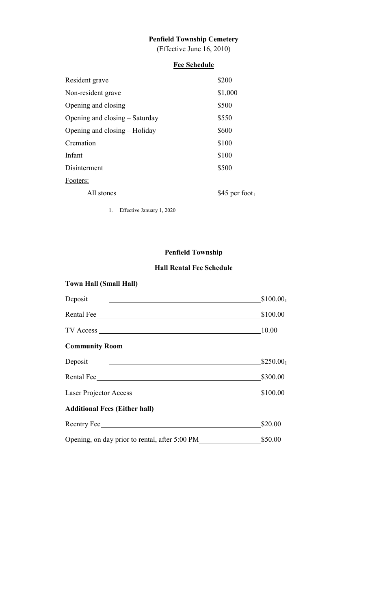# **Penfield Township Cemetery**

(Effective June 16, 2010)

# **Fee Schedule**

| Resident grave                 | \$200         |
|--------------------------------|---------------|
| Non-resident grave             | \$1,000       |
| Opening and closing            | \$500         |
| Opening and closing – Saturday | \$550         |
| Opening and closing – Holiday  | \$600         |
| Cremation                      | \$100         |
| Infant                         | \$100         |
| Disinterment                   | \$500         |
| Footers:                       |               |
| All stones                     | \$45 per foot |
|                                |               |

1. Effective January 1, 2020

## **Penfield Township**

## **Hall Rental Fee Schedule**

# **Town Hall (Small Hall)**

| Deposit                                        | \$100.00 <sub>1</sub> |
|------------------------------------------------|-----------------------|
| Rental Fee                                     | \$100.00              |
|                                                | 10.00                 |
| <b>Community Room</b>                          |                       |
| Deposit                                        | $$250.00_1$           |
| Rental Fee                                     | \$300.00              |
|                                                | \$100.00              |
| <b>Additional Fees (Either hall)</b>           |                       |
| Reentry Fee                                    | \$20.00               |
| Opening, on day prior to rental, after 5:00 PM | \$50.00               |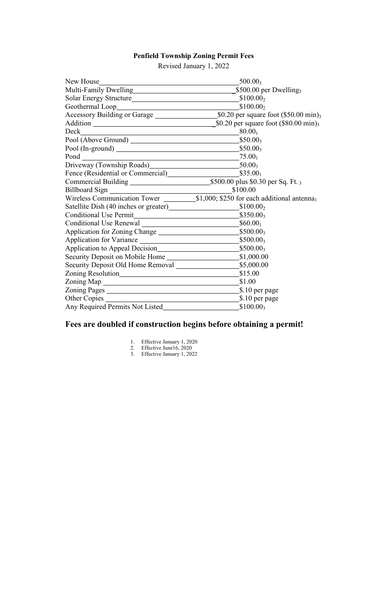## **Penfield Township Zoning Permit Fees**

Revised January 1, 2022

| New House                                                                                                                                                                                                                      | $500.00_3$     |
|--------------------------------------------------------------------------------------------------------------------------------------------------------------------------------------------------------------------------------|----------------|
|                                                                                                                                                                                                                                |                |
| Solar Energy Structure Solar Energy Structure Solar Energy Structure Solar Energy Structure Solar Energy Structure Solar Energy Structure Solar Energy Structure Solar Energy Structure Solar Energy Structure Solar Energy St |                |
|                                                                                                                                                                                                                                |                |
|                                                                                                                                                                                                                                |                |
|                                                                                                                                                                                                                                |                |
|                                                                                                                                                                                                                                | $80.00_1$      |
|                                                                                                                                                                                                                                | $$50.00_3$     |
|                                                                                                                                                                                                                                |                |
|                                                                                                                                                                                                                                |                |
| Driveway (Township Roads) 50.003                                                                                                                                                                                               |                |
|                                                                                                                                                                                                                                |                |
|                                                                                                                                                                                                                                |                |
|                                                                                                                                                                                                                                | \$100.00       |
|                                                                                                                                                                                                                                |                |
| Satellite Dish (40 inches or greater) \$100.00 <sub>2</sub>                                                                                                                                                                    |                |
|                                                                                                                                                                                                                                | $$350.00_3$    |
|                                                                                                                                                                                                                                |                |
|                                                                                                                                                                                                                                |                |
|                                                                                                                                                                                                                                | $$500.00_3$    |
| Application to Appeal Decision S500.00 <sub>3</sub> \$500.00 <sub>3</sub>                                                                                                                                                      |                |
|                                                                                                                                                                                                                                |                |
|                                                                                                                                                                                                                                |                |
| Zoning Resolution S15.00 Simple Resolution Simple Resolution Simple Resolution Simple Resolution Simple Resolution Simple Resolution Simple Resolution Simple Resolution Simple Resolution Simple Resolution Simple Resolution |                |
|                                                                                                                                                                                                                                |                |
|                                                                                                                                                                                                                                | \$.10 per page |
|                                                                                                                                                                                                                                |                |
|                                                                                                                                                                                                                                |                |

# **Fees are doubled if construction begins before obtaining a permit!**

- 1. Effective January 1, 2020
- 2. Effective June16, 2020
- 3. Effective January 1, 2022